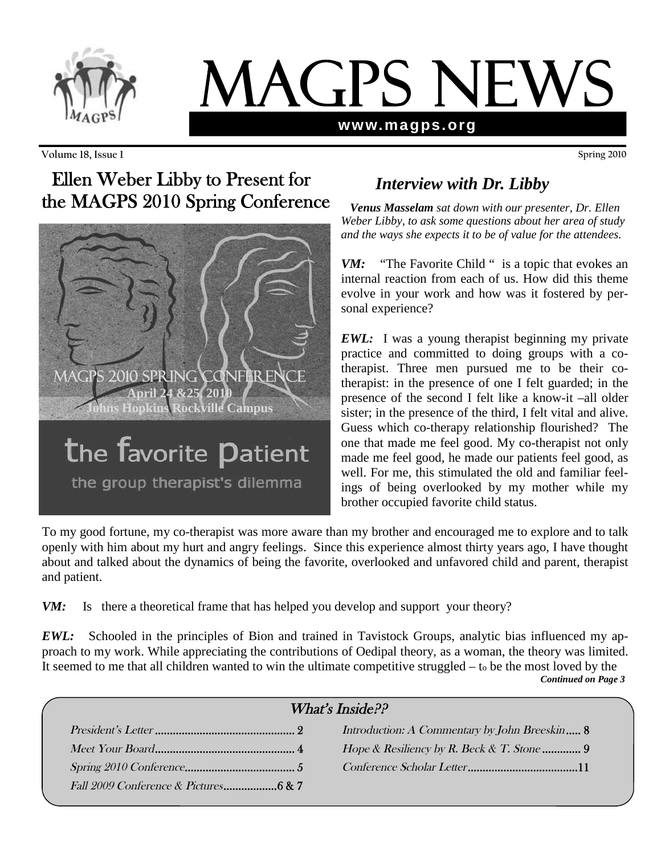

# MAGPS NEW **www.magps.org**

**Volume 18, Issue 1 Spring 2010**

# Ellen Weber Libby to Present for the MAGPS 2010 Spring Conference



### the group therapist's dilemma

# *Interview with Dr. Libby*

*Venus Masselam sat down with our presenter, Dr. Ellen Weber Libby, to ask some questions about her area of study and the ways she expects it to be of value for the attendees.*

*VM:* "The Favorite Child " is a topic that evokes an internal reaction from each of us. How did this theme evolve in your work and how was it fostered by personal experience?

*EWL:* I was a young therapist beginning my private practice and committed to doing groups with a cotherapist. Three men pursued me to be their cotherapist: in the presence of one I felt guarded; in the presence of the second I felt like a know-it –all older sister; in the presence of the third, I felt vital and alive. Guess which co-therapy relationship flourished? The one that made me feel good. My co-therapist not only made me feel good, he made our patients feel good, as well. For me, this stimulated the old and familiar feelings of being overlooked by my mother while my brother occupied favorite child status.

To my good fortune, my co-therapist was more aware than my brother and encouraged me to explore and to talk openly with him about my hurt and angry feelings. Since this experience almost thirty years ago, I have thought about and talked about the dynamics of being the favorite, overlooked and unfavored child and parent, therapist and patient.

*VM*: Is there a theoretical frame that has helped you develop and support your theory?

*EWL:* Schooled in the principles of Bion and trained in Tavistock Groups, analytic bias influenced my approach to my work. While appreciating the contributions of Oedipal theory, as a woman, the theory was limited. It seemed to me that all children wanted to win the ultimate competitive struggled – t<sup>o</sup> be the most loved by the *Continued on Page 3*

| What's Inside $P$ ? |  |                                               |  |
|---------------------|--|-----------------------------------------------|--|
|                     |  | Introduction: A Commentary by John Breeskin 8 |  |
|                     |  |                                               |  |
|                     |  |                                               |  |
|                     |  |                                               |  |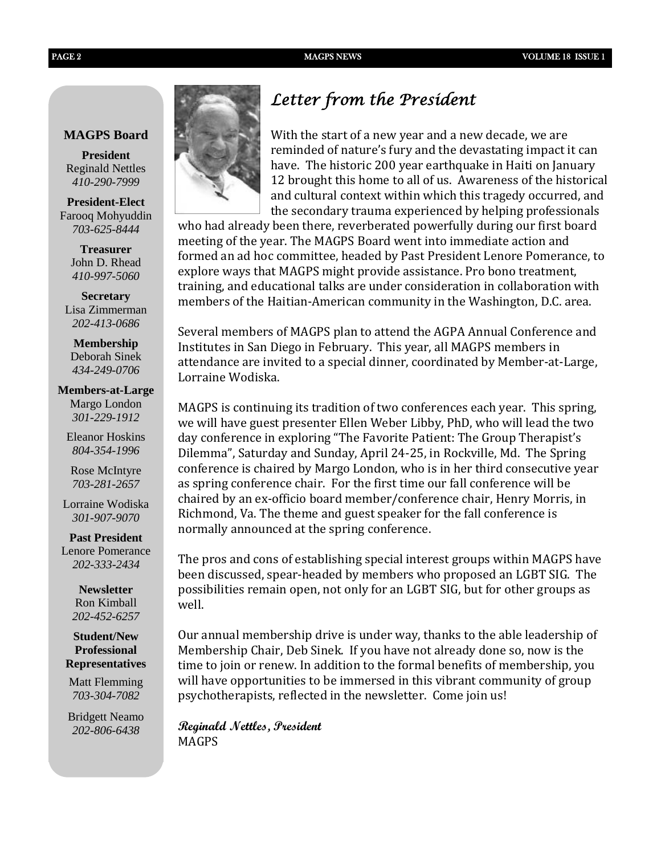#### **MAGPS Board**

**President** Reginald Nettles *410-290-7999*

**President-Elect** Farooq Mohyuddin *703-625-8444*

> **Treasurer** John D. Rhead *410-997-5060*

**Secretary** Lisa Zimmerman *202-413-0686*

**Membership** Deborah Sinek *434-249-0706*

#### **Members-at-Large**

Margo London *301-229-1912*

Eleanor Hoskins *804-354-1996*

Rose McIntyre *703-281-2657*

Lorraine Wodiska *301-907-9070*

**Past President**

Lenore Pomerance *202-333-2434*

> **Newsletter** Ron Kimball *202-452-6257*

**Student/New Professional Representatives**

Matt Flemming *703-304-7082*

Bridgett Neamo *202-806-6438*



With the start of a new year and a new decade, we are reminded of nature's fury and the devastating impact it can have. The historic 200 year earthquake in Haiti on January 12 brought this home to all of us. Awareness of the historical and cultural context within which this tragedy occurred, and the secondary trauma experienced by helping professionals

who had already been there, reverberated powerfully during our first board meeting of the year. The MAGPS Board went into immediate action and formed an ad hoc committee, headed by Past President Lenore Pomerance, to explore ways that MAGPS might provide assistance. Pro bono treatment, training, and educational talks are under consideration in collaboration with members of the Haitian-American community in the Washington, D.C. area.

Several members of MAGPS plan to attend the AGPA Annual Conference and Institutes in San Diego in February. This year, all MAGPS members in attendance are invited to a special dinner, coordinated by Member-at-Large, Lorraine Wodiska.

MAGPS is continuing its tradition of two conferences each year. This spring, we will have guest presenter Ellen Weber Libby, PhD, who will lead the two day conference in exploring "The Favorite Patient: The Group Therapist's Dilemma", Saturday and Sunday, April 24-25, in Rockville, Md. The Spring conference is chaired by Margo London, who is in her third consecutive year as spring conference chair. For the first time our fall conference will be chaired by an ex-officio board member/conference chair, Henry Morris, in Richmond, Va. The theme and guest speaker for the fall conference is normally announced at the spring conference.

The pros and cons of establishing special interest groups within MAGPS have been discussed, spear-headed by members who proposed an LGBT SIG. The possibilities remain open, not only for an LGBT SIG, but for other groups as well.

Our annual membership drive is under way, thanks to the able leadership of Membership Chair, Deb Sinek. If you have not already done so, now is the time to join or renew. In addition to the formal benefits of membership, you will have opportunities to be immersed in this vibrant community of group psychotherapists, reflected in the newsletter. Come join us!

**Reginald Nettles, President** MAGPS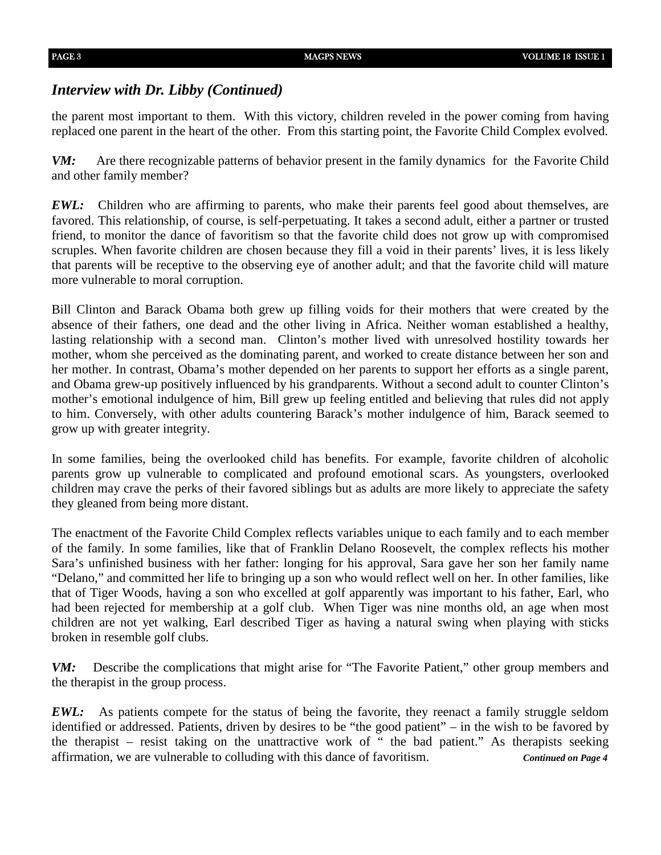#### *Interview with Dr. Libby (Continued)*

the parent most important to them. With this victory, children reveled in the power coming from having replaced one parent in the heart of the other. From this starting point, the Favorite Child Complex evolved.

*VM:* Are there recognizable patterns of behavior present in the family dynamics for the Favorite Child and other family member?

*EWL:* Children who are affirming to parents, who make their parents feel good about themselves, are favored. This relationship, of course, is self-perpetuating. It takes a second adult, either a partner or trusted friend, to monitor the dance of favoritism so that the favorite child does not grow up with compromised scruples. When favorite children are chosen because they fill a void in their parents' lives, it is less likely that parents will be receptive to the observing eye of another adult; and that the favorite child will mature more vulnerable to moral corruption.

Bill Clinton and Barack Obama both grew up filling voids for their mothers that were created by the absence of their fathers, one dead and the other living in Africa. Neither woman established a healthy, lasting relationship with a second man. Clinton's mother lived with unresolved hostility towards her mother, whom she perceived as the dominating parent, and worked to create distance between her son and her mother. In contrast, Obama's mother depended on her parents to support her efforts as a single parent, and Obama grew-up positively influenced by his grandparents. Without a second adult to counter Clinton's mother's emotional indulgence of him, Bill grew up feeling entitled and believing that rules did not apply to him. Conversely, with other adults countering Barack's mother indulgence of him, Barack seemed to grow up with greater integrity.

In some families, being the overlooked child has benefits. For example, favorite children of alcoholic parents grow up vulnerable to complicated and profound emotional scars. As youngsters, overlooked children may crave the perks of their favored siblings but as adults are more likely to appreciate the safety they gleaned from being more distant.

The enactment of the Favorite Child Complex reflects variables unique to each family and to each member of the family. In some families, like that of Franklin Delano Roosevelt, the complex reflects his mother Sara's unfinished business with her father: longing for his approval, Sara gave her son her family name "Delano," and committed her life to bringing up a son who would reflect well on her. In other families, like that of Tiger Woods, having a son who excelled at golf apparently was important to his father, Earl, who had been rejected for membership at a golf club. When Tiger was nine months old, an age when most children are not yet walking, Earl described Tiger as having a natural swing when playing with sticks broken in resemble golf clubs.

*VM:* Describe the complications that might arise for "The Favorite Patient," other group members and the therapist in the group process.

*EWL:* As patients compete for the status of being the favorite, they reenact a family struggle seldom identified or addressed. Patients, driven by desires to be "the good patient" – in the wish to be favored by the therapist – resist taking on the unattractive work of " the bad patient." As therapists seeking affirmation, we are vulnerable to colluding with this dance of favoritism. *Continued on Page 4*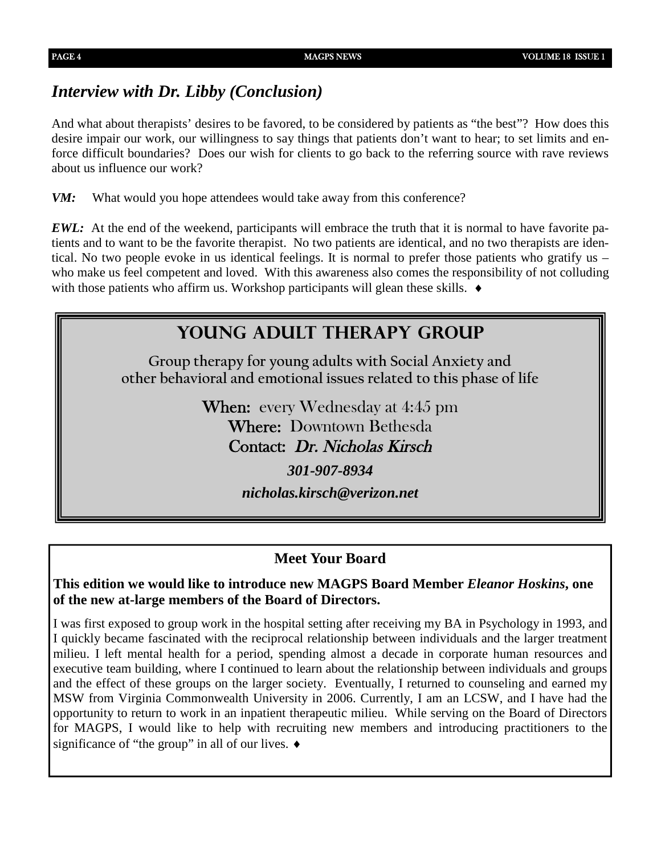### *Interview with Dr. Libby (Conclusion)*

And what about therapists' desires to be favored, to be considered by patients as "the best"? How does this desire impair our work, our willingness to say things that patients don't want to hear; to set limits and enforce difficult boundaries? Does our wish for clients to go back to the referring source with rave reviews about us influence our work?

*VM:* What would you hope attendees would take away from this conference?

*EWL:* At the end of the weekend, participants will embrace the truth that it is normal to have favorite patients and to want to be the favorite therapist. No two patients are identical, and no two therapists are identical. No two people evoke in us identical feelings. It is normal to prefer those patients who gratify us – who make us feel competent and loved. With this awareness also comes the responsibility of not colluding with those patients who affirm us. Workshop participants will glean these skills.  $\bullet$ 

# **Young adult therapy group**

**Group therapy for young adults with Social Anxiety and other behavioral and emotional issues related to this phase of life**

> When: every Wednesday at 4:45 pm Where: Downtown Bethesda Contact: Dr. Nicholas Kirsch

*301-907-8934*

*nicholas.kirsch@verizon.net*

### **Meet Your Board**

**This edition we would like to introduce new MAGPS Board Member** *Eleanor Hoskins***, one of the new at-large members of the Board of Directors.**

I was first exposed to group work in the hospital setting after receiving my BA in Psychology in 1993, and I quickly became fascinated with the reciprocal relationship between individuals and the larger treatment milieu. I left mental health for a period, spending almost a decade in corporate human resources and executive team building, where I continued to learn about the relationship between individuals and groups and the effect of these groups on the larger society. Eventually, I returned to counseling and earned my MSW from Virginia Commonwealth University in 2006. Currently, I am an LCSW, and I have had the opportunity to return to work in an inpatient therapeutic milieu. While serving on the Board of Directors for MAGPS, I would like to help with recruiting new members and introducing practitioners to the significance of "the group" in all of our lives.  $\bullet$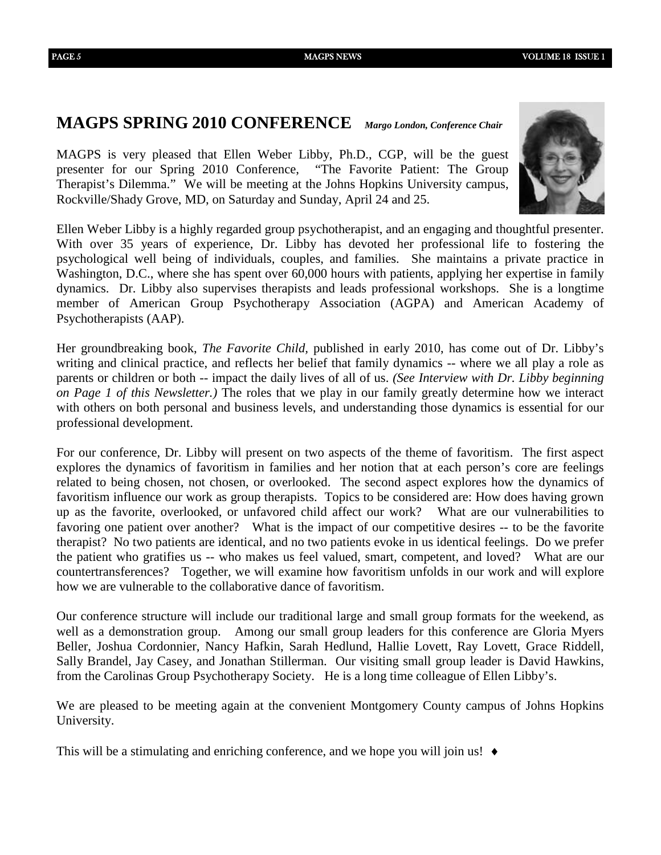### **MAGPS SPRING 2010 CONFERENCE** *Margo London, Conference Chair*

MAGPS is very pleased that Ellen Weber Libby, Ph.D., CGP, will be the guest presenter for our Spring 2010 Conference, "The Favorite Patient: The Group Therapist's Dilemma." We will be meeting at the Johns Hopkins University campus, Rockville/Shady Grove, MD, on Saturday and Sunday, April 24 and 25.

Ellen Weber Libby is a highly regarded group psychotherapist, and an engaging and thoughtful presenter. With over 35 years of experience, Dr. Libby has devoted her professional life to fostering the psychological well being of individuals, couples, and families. She maintains a private practice in Washington, D.C., where she has spent over 60,000 hours with patients, applying her expertise in family dynamics. Dr. Libby also supervises therapists and leads professional workshops. She is a longtime member of American Group Psychotherapy Association (AGPA) and American Academy of Psychotherapists (AAP).

Her groundbreaking book, *The Favorite Child,* published in early 2010, has come out of Dr. Libby's writing and clinical practice, and reflects her belief that family dynamics -- where we all play a role as parents or children or both -- impact the daily lives of all of us. *(See Interview with Dr. Libby beginning on Page 1 of this Newsletter.)* The roles that we play in our family greatly determine how we interact with others on both personal and business levels, and understanding those dynamics is essential for our professional development.

For our conference, Dr. Libby will present on two aspects of the theme of favoritism. The first aspect explores the dynamics of favoritism in families and her notion that at each person's core are feelings related to being chosen, not chosen, or overlooked. The second aspect explores how the dynamics of favoritism influence our work as group therapists. Topics to be considered are: How does having grown up as the favorite, overlooked, or unfavored child affect our work? What are our vulnerabilities to favoring one patient over another? What is the impact of our competitive desires -- to be the favorite therapist? No two patients are identical, and no two patients evoke in us identical feelings. Do we prefer the patient who gratifies us -- who makes us feel valued, smart, competent, and loved? What are our countertransferences? Together, we will examine how favoritism unfolds in our work and will explore how we are vulnerable to the collaborative dance of favoritism.

Our conference structure will include our traditional large and small group formats for the weekend, as well as a demonstration group. Among our small group leaders for this conference are Gloria Myers Beller, Joshua Cordonnier, Nancy Hafkin, Sarah Hedlund, Hallie Lovett, Ray Lovett, Grace Riddell, Sally Brandel, Jay Casey, and Jonathan Stillerman. Our visiting small group leader is David Hawkins, from the Carolinas Group Psychotherapy Society. He is a long time colleague of Ellen Libby's.

We are pleased to be meeting again at the convenient Montgomery County campus of Johns Hopkins University.

This will be a stimulating and enriching conference, and we hope you will join us!  $\bullet$ 

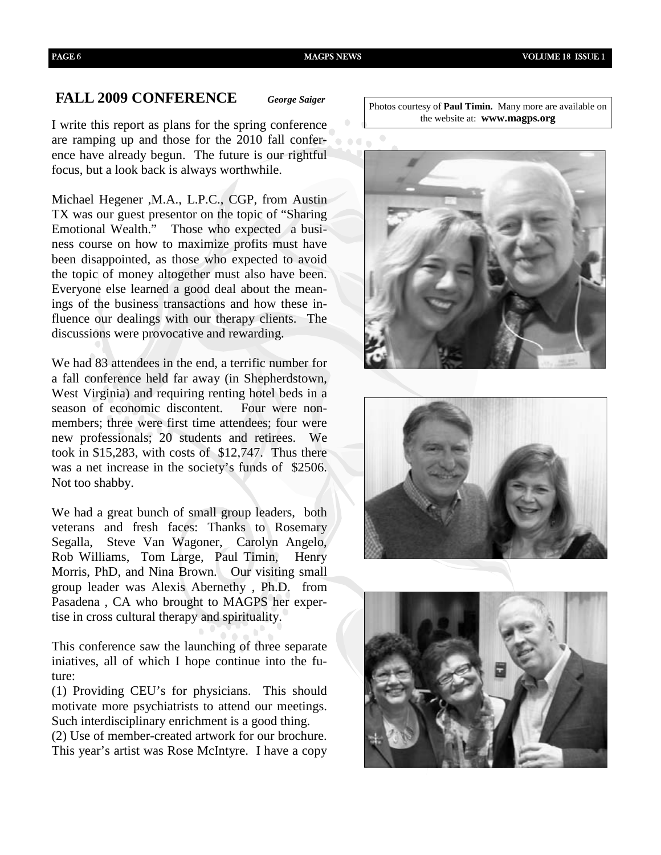#### **FALL 2009 CONFERENCE** *George Saiger*

I write this report as plans for the spring conference are ramping up and those for the 2010 fall conference have already begun. The future is our rightful focus, but a look back is always worthwhile.

Michael Hegener ,M.A., L.P.C., CGP, from Austin TX was our guest presentor on the topic of "Sharing Emotional Wealth." Those who expected a business course on how to maximize profits must have been disappointed, as those who expected to avoid the topic of money altogether must also have been. Everyone else learned a good deal about the meanings of the business transactions and how these influence our dealings with our therapy clients. The discussions were provocative and rewarding.

We had 83 attendees in the end, a terrific number for a fall conference held far away (in Shepherdstown, West Virginia) and requiring renting hotel beds in a season of economic discontent. Four were nonmembers; three were first time attendees; four were new professionals; 20 students and retirees. We took in \$15,283, with costs of \$12,747. Thus there was a net increase in the society's funds of \$2506. Not too shabby.

We had a great bunch of small group leaders, both veterans and fresh faces: Thanks to Rosemary Segalla, Steve Van Wagoner, Carolyn Angelo, Rob Williams, Tom Large, Paul Timin, Henry Morris, PhD, and Nina Brown. Our visiting small group leader was Alexis Abernethy , Ph.D. from Pasadena , CA who brought to MAGPS her expertise in cross cultural therapy and spirituality.

This conference saw the launching of three separate iniatives, all of which I hope continue into the future:

(1) Providing CEU's for physicians. This should motivate more psychiatrists to attend our meetings. Such interdisciplinary enrichment is a good thing. (2) Use of member-created artwork for our brochure. This year's artist was Rose McIntyre. I have a copy

Photos courtesy of **Paul Timin.** Many more are available on the website at: **www.magps.org**





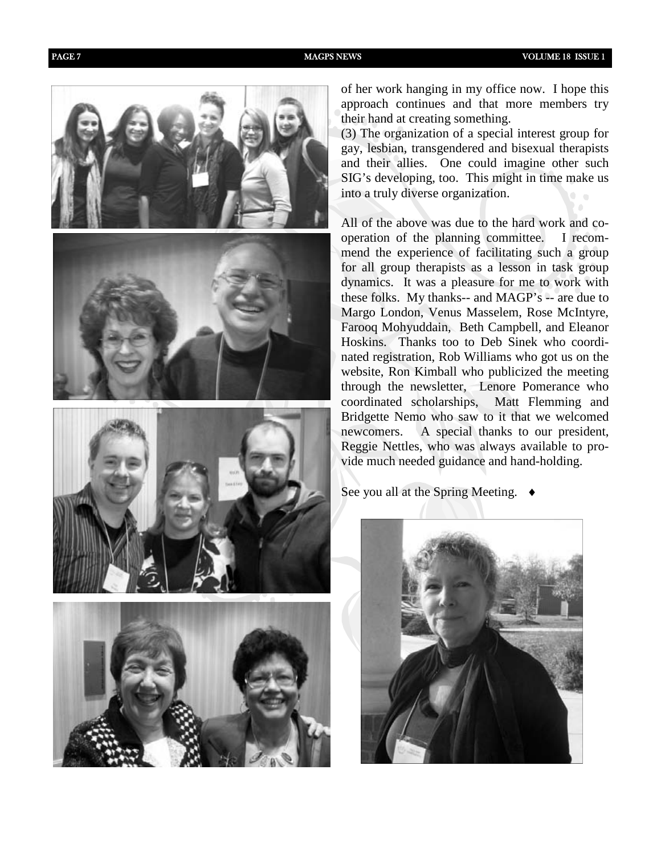







of her work hanging in my office now. I hope this approach continues and that more members try their hand at creating something.

(3) The organization of a special interest group for gay, lesbian, transgendered and bisexual therapists and their allies. One could imagine other such SIG's developing, too. This might in time make us into a truly diverse organization.

All of the above was due to the hard work and cooperation of the planning committee. I recommend the experience of facilitating such a group for all group therapists as a lesson in task group dynamics. It was a pleasure for me to work with these folks. My thanks-- and MAGP's -- are due to Margo London, Venus Masselem, Rose McIntyre, Farooq Mohyuddain, Beth Campbell, and Eleanor Hoskins. Thanks too to Deb Sinek who coordinated registration, Rob Williams who got us on the website, Ron Kimball who publicized the meeting through the newsletter, Lenore Pomerance who coordinated scholarships, Matt Flemming and Bridgette Nemo who saw to it that we welcomed newcomers. A special thanks to our president, Reggie Nettles, who was always available to provide much needed guidance and hand-holding.

See you all at the Spring Meeting. ♦

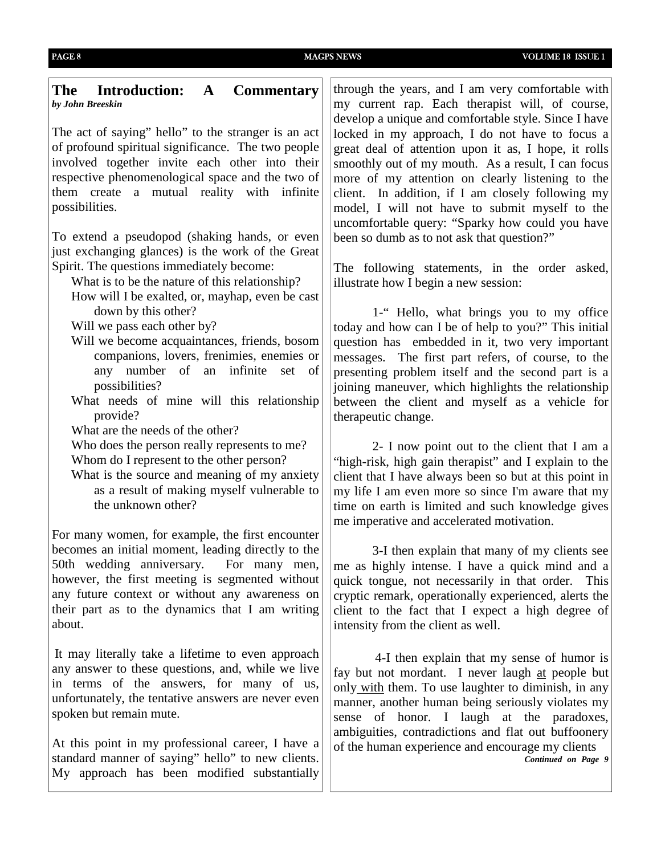#### **The Introduction: A Commentary** *by John Breeskin*

The act of saying" hello" to the stranger is an act of profound spiritual significance. The two people involved together invite each other into their respective phenomenological space and the two of them create a mutual reality with infinite possibilities.

To extend a pseudopod (shaking hands, or even just exchanging glances) is the work of the Great Spirit. The questions immediately become:

What is to be the nature of this relationship?

How will I be exalted, or, mayhap, even be cast down by this other?

Will we pass each other by?

- Will we become acquaintances, friends, bosom companions, lovers, frenimies, enemies or any number of an infinite set of possibilities?
- What needs of mine will this relationship provide?

What are the needs of the other?

Who does the person really represents to me? Whom do I represent to the other person?

What is the source and meaning of my anxiety as a result of making myself vulnerable to the unknown other?

For many women, for example, the first encounter becomes an initial moment, leading directly to the 50th wedding anniversary. For many men, however, the first meeting is segmented without any future context or without any awareness on their part as to the dynamics that I am writing about.

It may literally take a lifetime to even approach any answer to these questions, and, while we live in terms of the answers, for many of us, unfortunately, the tentative answers are never even spoken but remain mute.

At this point in my professional career, I have a standard manner of saying" hello" to new clients. My approach has been modified substantially

through the years, and I am very comfortable with my current rap. Each therapist will, of course, develop a unique and comfortable style. Since I have locked in my approach, I do not have to focus a great deal of attention upon it as, I hope, it rolls smoothly out of my mouth. As a result, I can focus more of my attention on clearly listening to the client. In addition, if I am closely following my model, I will not have to submit myself to the uncomfortable query: "Sparky how could you have been so dumb as to not ask that question?"

The following statements, in the order asked, illustrate how I begin a new session:

1-" Hello, what brings you to my office today and how can I be of help to you?" This initial question has embedded in it, two very important messages. The first part refers, of course, to the presenting problem itself and the second part is a joining maneuver, which highlights the relationship between the client and myself as a vehicle for therapeutic change.

2- I now point out to the client that I am a "high-risk, high gain therapist" and I explain to the client that I have always been so but at this point in my life I am even more so since I'm aware that my time on earth is limited and such knowledge gives me imperative and accelerated motivation.

3-I then explain that many of my clients see me as highly intense. I have a quick mind and a quick tongue, not necessarily in that order. This cryptic remark, operationally experienced, alerts the client to the fact that I expect a high degree of intensity from the client as well.

4-I then explain that my sense of humor is fay but not mordant. I never laugh at people but only with them. To use laughter to diminish, in any manner, another human being seriously violates my sense of honor. I laugh at the paradoxes, ambiguities, contradictions and flat out buffoonery of the human experience and encourage my clients *Continued on Page 9*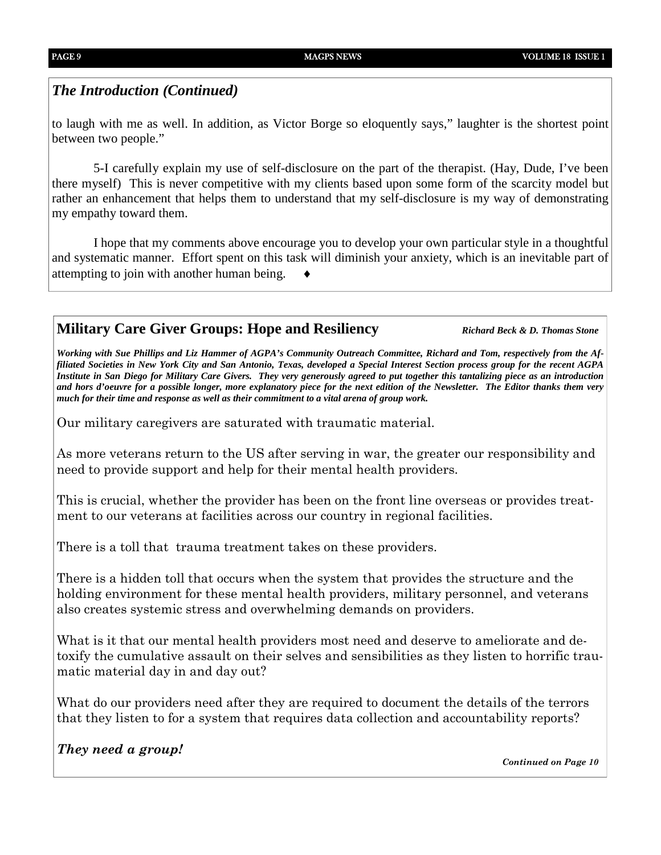#### *The Introduction (Continued)*

to laugh with me as well. In addition, as Victor Borge so eloquently says," laughter is the shortest point between two people."

5-I carefully explain my use of self-disclosure on the part of the therapist. (Hay, Dude, I've been there myself) This is never competitive with my clients based upon some form of the scarcity model but rather an enhancement that helps them to understand that my self-disclosure is my way of demonstrating my empathy toward them.

I hope that my comments above encourage you to develop your own particular style in a thoughtful and systematic manner. Effort spent on this task will diminish your anxiety, which is an inevitable part of attempting to join with another human being.

#### **Military Care Giver Groups: Hope and Resiliency** *Richard Beck & D. Thomas Stone*

*Working with Sue Phillips and Liz Hammer of AGPA's Community Outreach Committee, Richard and Tom, respectively from the Affiliated Societies in New York City and San Antonio, Texas, developed a Special Interest Section process group for the recent AGPA Institute in San Diego for Military Care Givers. They very generously agreed to put together this tantalizing piece as an introduction and hors d'oeuvre for a possible longer, more explanatory piece for the next edition of the Newsletter. The Editor thanks them very much for their time and response as well as their commitment to a vital arena of group work.*

Our military caregivers are saturated with traumatic material.

As more veterans return to the US after serving in war, the greater our responsibility and need to provide support and help for their mental health providers.

This is crucial, whether the provider has been on the front line overseas or provides treatment to our veterans at facilities across our country in regional facilities.

There is a toll that trauma treatment takes on these providers.

There is a hidden toll that occurs when the system that provides the structure and the holding environment for these mental health providers, military personnel, and veterans also creates systemic stress and overwhelming demands on providers.

What is it that our mental health providers most need and deserve to ameliorate and detoxify the cumulative assault on their selves and sensibilities as they listen to horrific traumatic material day in and day out?

What do our providers need after they are required to document the details of the terrors that they listen to for a system that requires data collection and accountability reports?

#### *They need a group!*

*Continued on Page 10*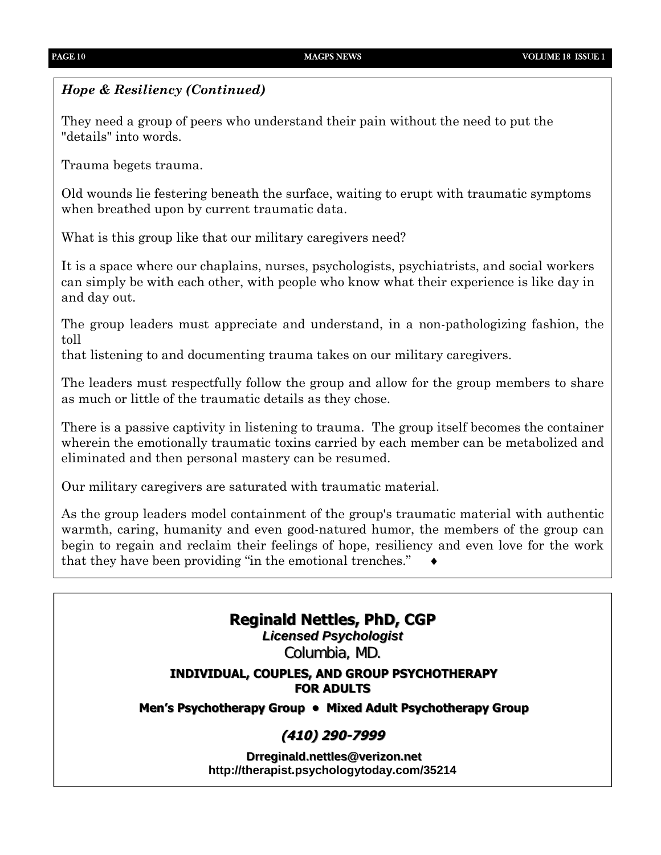#### *Hope & Resiliency (Continued)*

They need a group of peers who understand their pain without the need to put the "details" into words.

Trauma begets trauma.

Old wounds lie festering beneath the surface, waiting to erupt with traumatic symptoms when breathed upon by current traumatic data.

What is this group like that our military caregivers need?

It is a space where our chaplains, nurses, psychologists, psychiatrists, and social workers can simply be with each other, with people who know what their experience is like day in and day out.

The group leaders must appreciate and understand, in a non-pathologizing fashion, the toll

that listening to and documenting trauma takes on our military caregivers.

The leaders must respectfully follow the group and allow for the group members to share as much or little of the traumatic details as they chose.

There is a passive captivity in listening to trauma. The group itself becomes the container wherein the emotionally traumatic toxins carried by each member can be metabolized and eliminated and then personal mastery can be resumed.

Our military caregivers are saturated with traumatic material.

As the group leaders model containment of the group's traumatic material with authentic warmth, caring, humanity and even good-natured humor, the members of the group can begin to regain and reclaim their feelings of hope, resiliency and even love for the work that they have been providing "in the emotional trenches."

### **Reginald Nettles, PhD, CGP**

*Licensed Psychologist* Columbia, MD.

#### **INDIVIDUAL, COUPLES, AND GROUP PSYCHOTHERAPY FOR ADULTS**

**Men's Psychotherapy Group • Mixed Adult Psychotherapy Group**

### **(410) 290-7999**

**Drreginald.nettles@verizon.net http://therapist.psychologytoday.com/35214**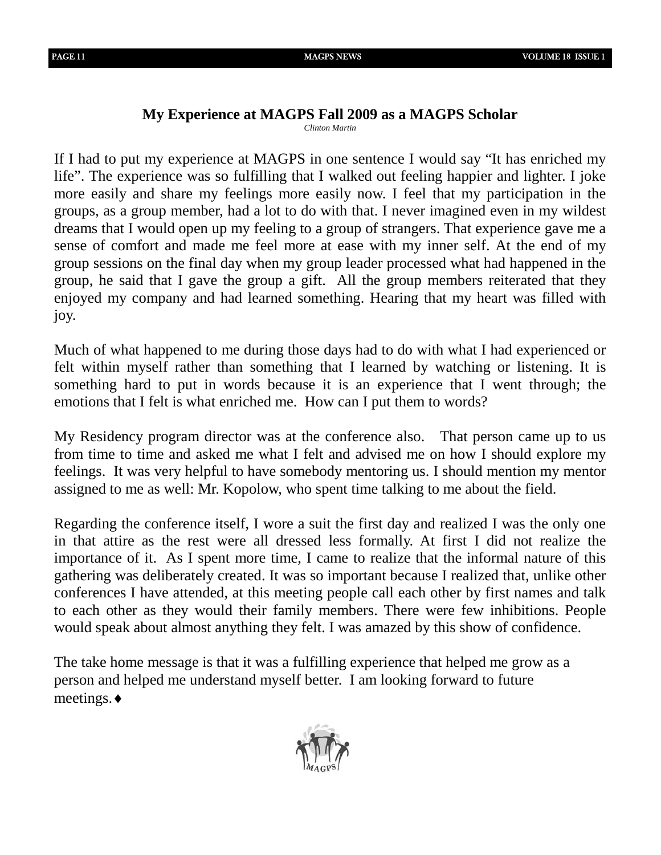# **My Experience at MAGPS Fall 2009 as a MAGPS Scholar**

*Clinton Martin*

If I had to put my experience at MAGPS in one sentence I would say "It has enriched my life". The experience was so fulfilling that I walked out feeling happier and lighter. I joke more easily and share my feelings more easily now. I feel that my participation in the groups, as a group member, had a lot to do with that. I never imagined even in my wildest dreams that I would open up my feeling to a group of strangers. That experience gave me a sense of comfort and made me feel more at ease with my inner self. At the end of my group sessions on the final day when my group leader processed what had happened in the group, he said that I gave the group a gift. All the group members reiterated that they enjoyed my company and had learned something. Hearing that my heart was filled with joy.

Much of what happened to me during those days had to do with what I had experienced or felt within myself rather than something that I learned by watching or listening. It is something hard to put in words because it is an experience that I went through; the emotions that I felt is what enriched me. How can I put them to words?

My Residency program director was at the conference also. That person came up to us from time to time and asked me what I felt and advised me on how I should explore my feelings. It was very helpful to have somebody mentoring us. I should mention my mentor assigned to me as well: Mr. Kopolow, who spent time talking to me about the field.

Regarding the conference itself, I wore a suit the first day and realized I was the only one in that attire as the rest were all dressed less formally. At first I did not realize the importance of it. As I spent more time, I came to realize that the informal nature of this gathering was deliberately created. It was so important because I realized that, unlike other conferences I have attended, at this meeting people call each other by first names and talk to each other as they would their family members. There were few inhibitions. People would speak about almost anything they felt. I was amazed by this show of confidence.

The take home message is that it was a fulfilling experience that helped me grow as a person and helped me understand myself better. I am looking forward to future meetings.